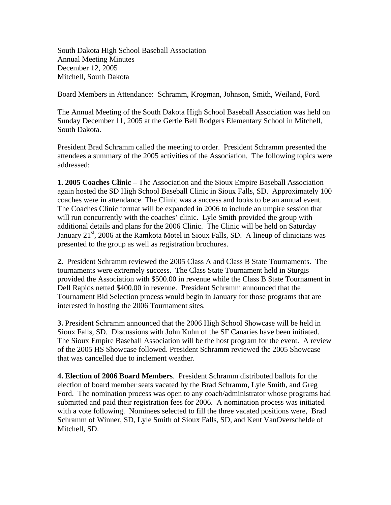South Dakota High School Baseball Association Annual Meeting Minutes December 12, 2005 Mitchell, South Dakota

Board Members in Attendance: Schramm, Krogman, Johnson, Smith, Weiland, Ford.

The Annual Meeting of the South Dakota High School Baseball Association was held on Sunday December 11, 2005 at the Gertie Bell Rodgers Elementary School in Mitchell, South Dakota.

President Brad Schramm called the meeting to order. President Schramm presented the attendees a summary of the 2005 activities of the Association. The following topics were addressed:

**1. 2005 Coaches Clinic** – The Association and the Sioux Empire Baseball Association again hosted the SD High School Baseball Clinic in Sioux Falls, SD. Approximately 100 coaches were in attendance. The Clinic was a success and looks to be an annual event. The Coaches Clinic format will be expanded in 2006 to include an umpire session that will run concurrently with the coaches' clinic. Lyle Smith provided the group with additional details and plans for the 2006 Clinic. The Clinic will be held on Saturday January  $21<sup>st</sup>$ , 2006 at the Ramkota Motel in Sioux Falls, SD. A lineup of clinicians was presented to the group as well as registration brochures.

**2.** President Schramm reviewed the 2005 Class A and Class B State Tournaments. The tournaments were extremely success. The Class State Tournament held in Sturgis provided the Association with \$500.00 in revenue while the Class B State Tournament in Dell Rapids netted \$400.00 in revenue. President Schramm announced that the Tournament Bid Selection process would begin in January for those programs that are interested in hosting the 2006 Tournament sites.

**3.** President Schramm announced that the 2006 High School Showcase will be held in Sioux Falls, SD. Discussions with John Kuhn of the SF Canaries have been initiated. The Sioux Empire Baseball Association will be the host program for the event. A review of the 2005 HS Showcase followed. President Schramm reviewed the 2005 Showcase that was cancelled due to inclement weather.

**4. Election of 2006 Board Members**. President Schramm distributed ballots for the election of board member seats vacated by the Brad Schramm, Lyle Smith, and Greg Ford. The nomination process was open to any coach/administrator whose programs had submitted and paid their registration fees for 2006. A nomination process was initiated with a vote following. Nominees selected to fill the three vacated positions were, Brad Schramm of Winner, SD, Lyle Smith of Sioux Falls, SD, and Kent VanOverschelde of Mitchell, SD.